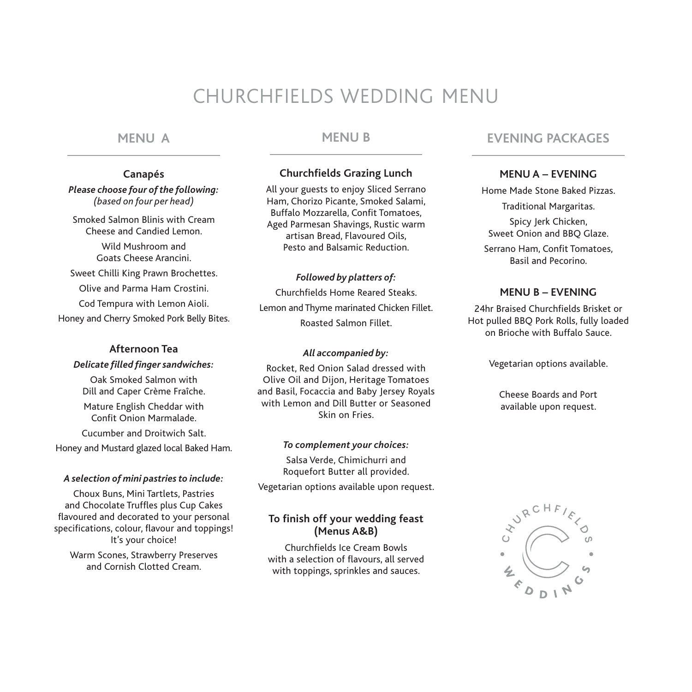# CHURCHFIELDS WEDDING MENU

## **MENU A**

#### **Canapés**

*Please choose four of the following: (based on four per head)*

Smoked Salmon Blinis with Cream Cheese and Candied Lemon. Wild Mushroom and Goats Cheese Arancini. Sweet Chilli King Prawn Brochettes. Olive and Parma Ham Crostini. Cod Tempura with Lemon Aioli. Honey and Cherry Smoked Pork Belly Bites.

## **Afternoon Tea**

*Delicate filled finger sandwiches:*

Oak Smoked Salmon with Dill and Caper Crème Fraîche.

Mature English Cheddar with Confit Onion Marmalade.

Cucumber and Droitwich Salt. Honey and Mustard glazed local Baked Ham.

#### *A selection of mini pastries to include:*

Choux Buns, Mini Tartlets, Pastries and Chocolate Truffles plus Cup Cakes flavoured and decorated to your personal specifications, colour, flavour and toppings! It's your choice!

Warm Scones, Strawberry Preserves and Cornish Clotted Cream.

# **MENU B**

## **Churchfields Grazing Lunch**

All your guests to enjoy Sliced Serrano Ham, Chorizo Picante, Smoked Salami, Buffalo Mozzarella, Confit Tomatoes, Aged Parmesan Shavings, Rustic warm artisan Bread, Flavoured Oils, Pesto and Balsamic Reduction.

#### *Followed by platters of:*

Churchfields Home Reared Steaks. Lemon and Thyme marinated Chicken Fillet. Roasted Salmon Fillet.

#### *All accompanied by:*

Rocket, Red Onion Salad dressed with Olive Oil and Dijon, Heritage Tomatoes and Basil, Focaccia and Baby Jersey Royals with Lemon and Dill Butter or Seasoned Skin on Fries.

#### *To complement your choices:*

Salsa Verde, Chimichurri and Roquefort Butter all provided. Vegetarian options available upon request.

## **To finish off your wedding feast (Menus A&B)**

Churchfields Ice Cream Bowls with a selection of flavours, all served with toppings, sprinkles and sauces.

# **EVENING PACKAGES**

## **MENU A – EVENING**

Home Made Stone Baked Pizzas. Traditional Margaritas. Spicy Jerk Chicken, Sweet Onion and BBQ Glaze. Serrano Ham, Confit Tomatoes, Basil and Pecorino.

#### **MENU B – EVENING**

24hr Braised Churchfields Brisket or Hot pulled BBQ Pork Rolls, fully loaded on Brioche with Buffalo Sauce.

Vegetarian options available.

Cheese Boards and Port available upon request.